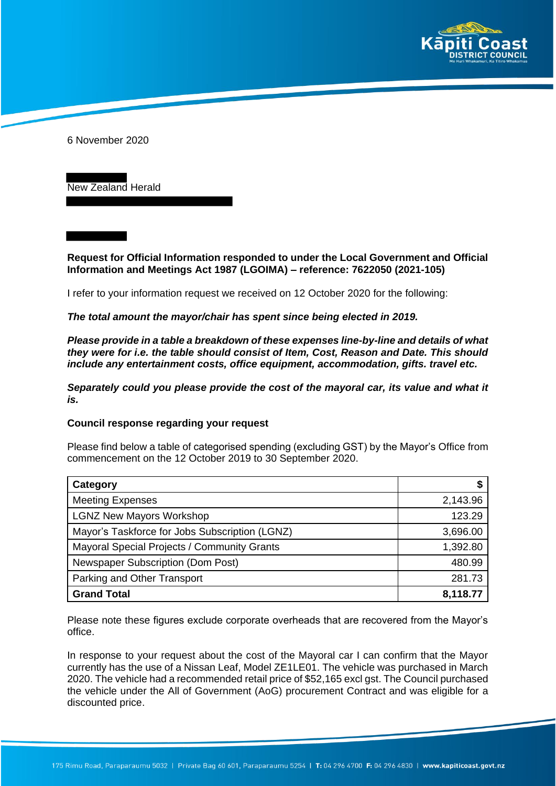

6 November 2020

New Zealand Herald

**Request for Official Information responded to under the Local Government and Official Information and Meetings Act 1987 (LGOIMA) – reference: 7622050 (2021-105)**

I refer to your information request we received on 12 October 2020 for the following:

*The total amount the mayor/chair has spent since being elected in 2019.* 

*Please provide in a table a breakdown of these expenses line-by-line and details of what they were for i.e. the table should consist of Item, Cost, Reason and Date. This should include any entertainment costs, office equipment, accommodation, gifts. travel etc.*

*Separately could you please provide the cost of the mayoral car, its value and what it is.*

## **Council response regarding your request**

Please find below a table of categorised spending (excluding GST) by the Mayor's Office from commencement on the 12 October 2019 to 30 September 2020.

| Category                                       |          |
|------------------------------------------------|----------|
| <b>Meeting Expenses</b>                        | 2,143.96 |
| <b>LGNZ New Mayors Workshop</b>                | 123.29   |
| Mayor's Taskforce for Jobs Subscription (LGNZ) | 3,696.00 |
| Mayoral Special Projects / Community Grants    | 1,392.80 |
| Newspaper Subscription (Dom Post)              | 480.99   |
| Parking and Other Transport                    | 281.73   |
| <b>Grand Total</b>                             | 8,118.77 |

Please note these figures exclude corporate overheads that are recovered from the Mayor's office.

In response to your request about the cost of the Mayoral car I can confirm that the Mayor currently has the use of a Nissan Leaf, Model ZE1LE01. The vehicle was purchased in March 2020. The vehicle had a recommended retail price of \$52,165 excl gst. The Council purchased the vehicle under the All of Government (AoG) procurement Contract and was eligible for a discounted price.